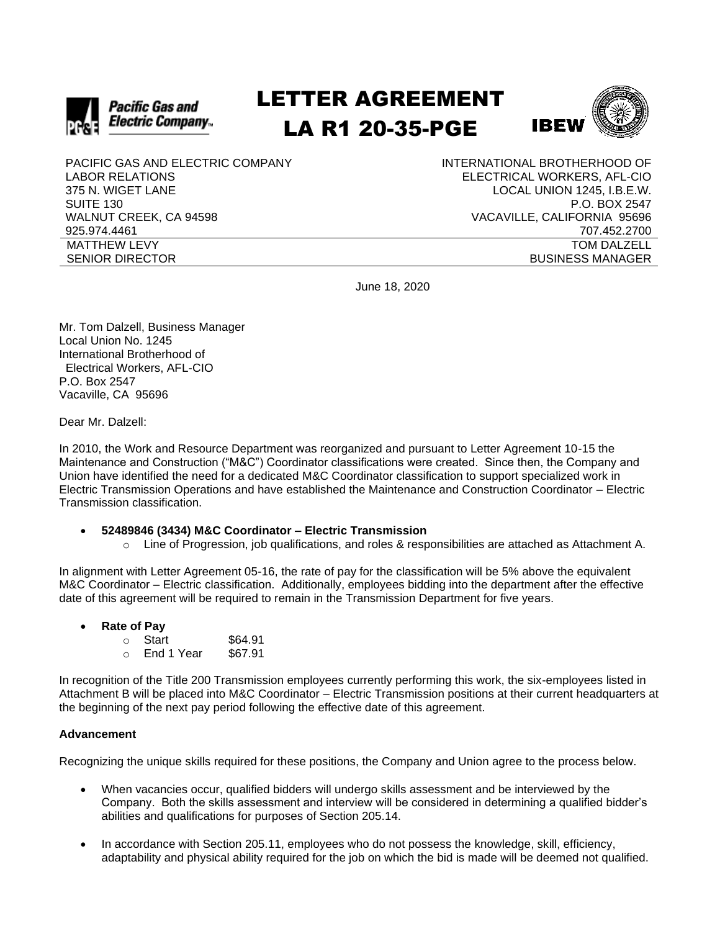

# LETTER AGREEMENT LA R1 20-35-PGE



PACIFIC GAS AND ELECTRIC COMPANY LABOR RELATIONS 375 N. WIGET LANE SUITE 130 WALNUT CREEK, CA 94598 925.974.4461 MATTHEW LEVY SENIOR DIRECTOR

INTERNATIONAL BROTHERHOOD OF ELECTRICAL WORKERS, AFL-CIO LOCAL UNION 1245, I.B.E.W. P.O. BOX 2547 VACAVILLE, CALIFORNIA 95696 707.452.2700 TOM DALZELL BUSINESS MANAGER

June 18, 2020

Mr. Tom Dalzell, Business Manager Local Union No. 1245 International Brotherhood of Electrical Workers, AFL-CIO P.O. Box 2547 Vacaville, CA 95696

Dear Mr. Dalzell:

In 2010, the Work and Resource Department was reorganized and pursuant to Letter Agreement 10-15 the Maintenance and Construction ("M&C") Coordinator classifications were created. Since then, the Company and Union have identified the need for a dedicated M&C Coordinator classification to support specialized work in Electric Transmission Operations and have established the Maintenance and Construction Coordinator – Electric Transmission classification.

- **52489846 (3434) M&C Coordinator – Electric Transmission**
	- $\circ$  Line of Progression, job qualifications, and roles & responsibilities are attached as Attachment A.

In alignment with Letter Agreement 05-16, the rate of pay for the classification will be 5% above the equivalent M&C Coordinator – Electric classification. Additionally, employees bidding into the department after the effective date of this agreement will be required to remain in the Transmission Department for five years.

• **Rate of Pay**

 $\circ$  Start \$64.91 o End 1 Year \$67.91

In recognition of the Title 200 Transmission employees currently performing this work, the six-employees listed in Attachment B will be placed into M&C Coordinator – Electric Transmission positions at their current headquarters at the beginning of the next pay period following the effective date of this agreement.

## **Advancement**

Recognizing the unique skills required for these positions, the Company and Union agree to the process below.

- When vacancies occur, qualified bidders will undergo skills assessment and be interviewed by the Company. Both the skills assessment and interview will be considered in determining a qualified bidder's abilities and qualifications for purposes of Section 205.14.
- In accordance with Section 205.11, employees who do not possess the knowledge, skill, efficiency, adaptability and physical ability required for the job on which the bid is made will be deemed not qualified.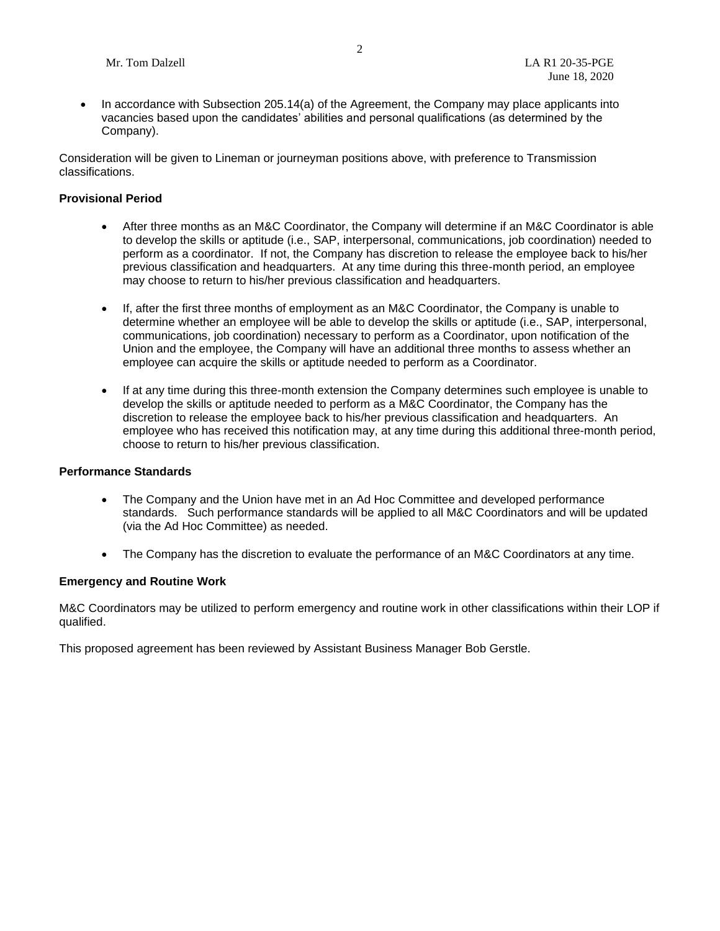• In accordance with Subsection 205.14(a) of the Agreement, the Company may place applicants into vacancies based upon the candidates' abilities and personal qualifications (as determined by the Company).

Consideration will be given to Lineman or journeyman positions above, with preference to Transmission classifications.

#### **Provisional Period**

- After three months as an M&C Coordinator, the Company will determine if an M&C Coordinator is able to develop the skills or aptitude (i.e., SAP, interpersonal, communications, job coordination) needed to perform as a coordinator. If not, the Company has discretion to release the employee back to his/her previous classification and headquarters. At any time during this three-month period, an employee may choose to return to his/her previous classification and headquarters.
- If, after the first three months of employment as an M&C Coordinator, the Company is unable to determine whether an employee will be able to develop the skills or aptitude (i.e., SAP, interpersonal, communications, job coordination) necessary to perform as a Coordinator, upon notification of the Union and the employee, the Company will have an additional three months to assess whether an employee can acquire the skills or aptitude needed to perform as a Coordinator.
- If at any time during this three-month extension the Company determines such employee is unable to develop the skills or aptitude needed to perform as a M&C Coordinator, the Company has the discretion to release the employee back to his/her previous classification and headquarters. An employee who has received this notification may, at any time during this additional three-month period, choose to return to his/her previous classification.

#### **Performance Standards**

- The Company and the Union have met in an Ad Hoc Committee and developed performance standards. Such performance standards will be applied to all M&C Coordinators and will be updated (via the Ad Hoc Committee) as needed.
- The Company has the discretion to evaluate the performance of an M&C Coordinators at any time.

## **Emergency and Routine Work**

M&C Coordinators may be utilized to perform emergency and routine work in other classifications within their LOP if qualified.

This proposed agreement has been reviewed by Assistant Business Manager Bob Gerstle.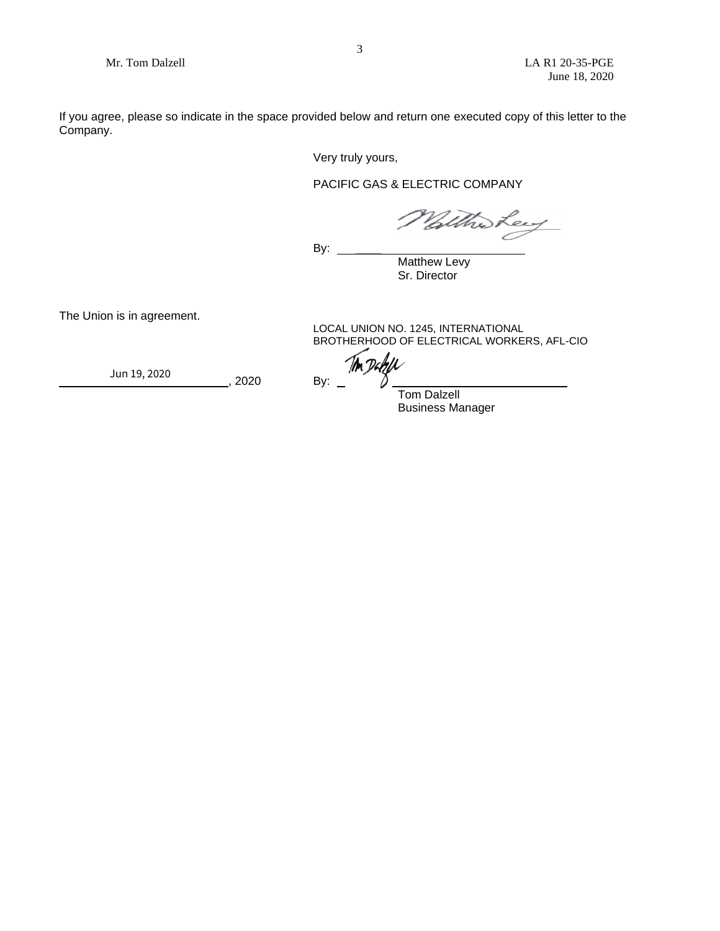If you agree, please so indicate in the space provided below and return one executed copy of this letter to the Company.

Very truly yours,

PACIFIC GAS & ELECTRIC COMPANY

With Ley

By:  $\_\_$ 

**Matthew Levy** Sr. Director

The Union is in agreement.

LOCAL UNION NO. 1245, INTERNATIONAL BROTHERHOOD OF ELECTRICAL WORKERS, AFL-CIO

, 2020 By:  ${Jun 19, 2020}$   ${By: \_\_}$ 

Tom Dalzell

Business Manager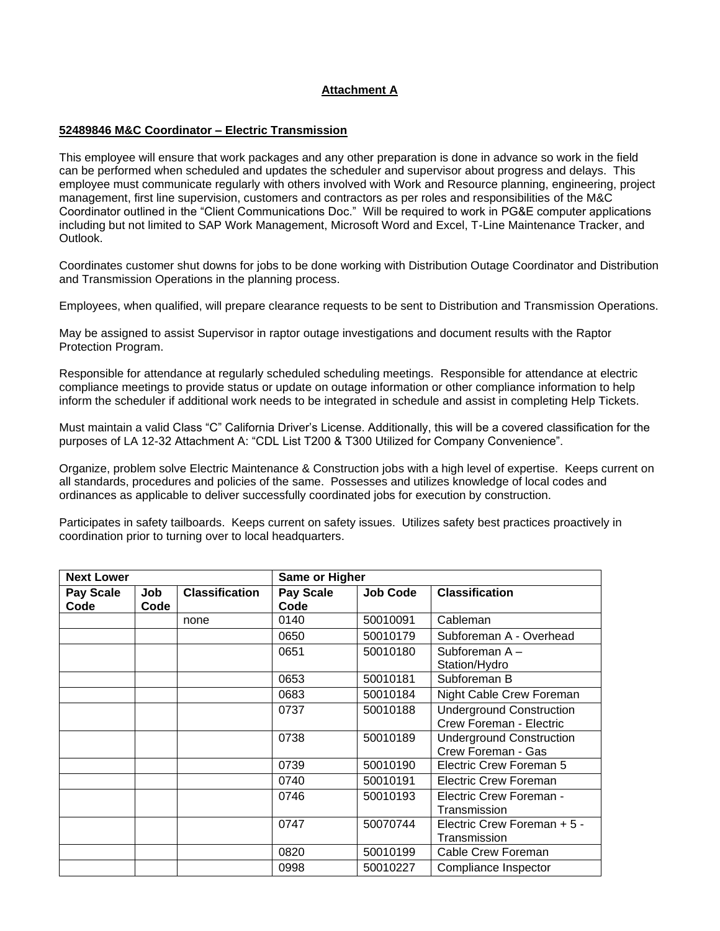## **Attachment A**

#### **52489846 M&C Coordinator – Electric Transmission**

This employee will ensure that work packages and any other preparation is done in advance so work in the field can be performed when scheduled and updates the scheduler and supervisor about progress and delays. This employee must communicate regularly with others involved with Work and Resource planning, engineering, project management, first line supervision, customers and contractors as per roles and responsibilities of the M&C Coordinator outlined in the "Client Communications Doc." Will be required to work in PG&E computer applications including but not limited to SAP Work Management, Microsoft Word and Excel, T-Line Maintenance Tracker, and Outlook.

Coordinates customer shut downs for jobs to be done working with Distribution Outage Coordinator and Distribution and Transmission Operations in the planning process.

Employees, when qualified, will prepare clearance requests to be sent to Distribution and Transmission Operations.

May be assigned to assist Supervisor in raptor outage investigations and document results with the Raptor Protection Program.

Responsible for attendance at regularly scheduled scheduling meetings. Responsible for attendance at electric compliance meetings to provide status or update on outage information or other compliance information to help inform the scheduler if additional work needs to be integrated in schedule and assist in completing Help Tickets.

Must maintain a valid Class "C" California Driver's License. Additionally, this will be a covered classification for the purposes of LA 12-32 Attachment A: "CDL List T200 & T300 Utilized for Company Convenience".

Organize, problem solve Electric Maintenance & Construction jobs with a high level of expertise. Keeps current on all standards, procedures and policies of the same. Possesses and utilizes knowledge of local codes and ordinances as applicable to deliver successfully coordinated jobs for execution by construction.

Participates in safety tailboards. Keeps current on safety issues. Utilizes safety best practices proactively in coordination prior to turning over to local headquarters.

| <b>Next Lower</b>        |             |                       | Same or Higher           |                 |                                                            |
|--------------------------|-------------|-----------------------|--------------------------|-----------------|------------------------------------------------------------|
| <b>Pay Scale</b><br>Code | Job<br>Code | <b>Classification</b> | <b>Pay Scale</b><br>Code | <b>Job Code</b> | <b>Classification</b>                                      |
|                          |             | none                  | 0140                     | 50010091        | Cableman                                                   |
|                          |             |                       | 0650                     | 50010179        | Subforeman A - Overhead                                    |
|                          |             |                       | 0651                     | 50010180        | Subforeman A-<br>Station/Hydro                             |
|                          |             |                       | 0653                     | 50010181        | Subforeman B                                               |
|                          |             |                       | 0683                     | 50010184        | Night Cable Crew Foreman                                   |
|                          |             |                       | 0737                     | 50010188        | <b>Underground Construction</b><br>Crew Foreman - Electric |
|                          |             |                       | 0738                     | 50010189        | <b>Underground Construction</b><br>Crew Foreman - Gas      |
|                          |             |                       | 0739                     | 50010190        | Electric Crew Foreman 5                                    |
|                          |             |                       | 0740                     | 50010191        | <b>Electric Crew Foreman</b>                               |
|                          |             |                       | 0746                     | 50010193        | Electric Crew Foreman -<br>Transmission                    |
|                          |             |                       | 0747                     | 50070744        | Electric Crew Foreman + 5 -<br>Transmission                |
|                          |             |                       | 0820                     | 50010199        | Cable Crew Foreman                                         |
|                          |             |                       | 0998                     | 50010227        | Compliance Inspector                                       |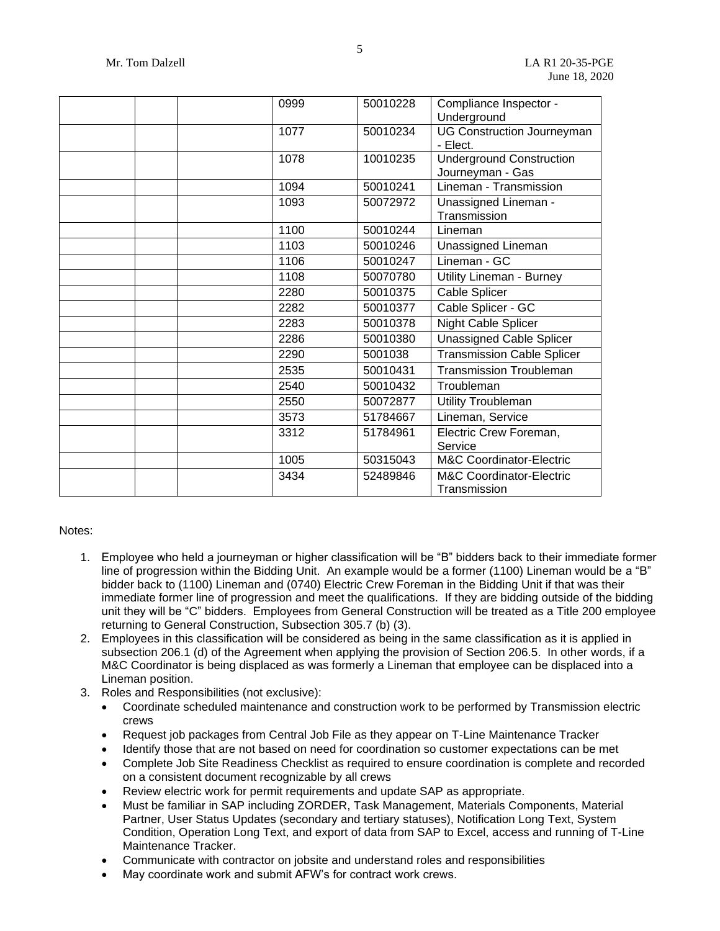| 0999 | 50010228 | Compliance Inspector -              |
|------|----------|-------------------------------------|
|      |          | Underground                         |
| 1077 | 50010234 | <b>UG Construction Journeyman</b>   |
|      |          | - Elect.                            |
| 1078 | 10010235 | <b>Underground Construction</b>     |
|      |          | Journeyman - Gas                    |
| 1094 | 50010241 | Lineman - Transmission              |
| 1093 | 50072972 | <b>Unassigned Lineman -</b>         |
|      |          | Transmission                        |
| 1100 | 50010244 | Lineman                             |
| 1103 | 50010246 | Unassigned Lineman                  |
| 1106 | 50010247 | Lineman - GC                        |
| 1108 | 50070780 | Utility Lineman - Burney            |
| 2280 | 50010375 | Cable Splicer                       |
| 2282 | 50010377 | Cable Splicer - GC                  |
| 2283 | 50010378 | Night Cable Splicer                 |
| 2286 | 50010380 | <b>Unassigned Cable Splicer</b>     |
| 2290 | 5001038  | <b>Transmission Cable Splicer</b>   |
| 2535 | 50010431 | <b>Transmission Troubleman</b>      |
| 2540 | 50010432 | Troubleman                          |
| 2550 | 50072877 | Utility Troubleman                  |
| 3573 | 51784667 | Lineman, Service                    |
| 3312 | 51784961 | Electric Crew Foreman,              |
|      |          | Service                             |
| 1005 | 50315043 | <b>M&amp;C Coordinator-Electric</b> |
| 3434 | 52489846 | <b>M&amp;C Coordinator-Electric</b> |
|      |          | Transmission                        |

### Notes:

- 1. Employee who held a journeyman or higher classification will be "B" bidders back to their immediate former line of progression within the Bidding Unit. An example would be a former (1100) Lineman would be a "B" bidder back to (1100) Lineman and (0740) Electric Crew Foreman in the Bidding Unit if that was their immediate former line of progression and meet the qualifications. If they are bidding outside of the bidding unit they will be "C" bidders. Employees from General Construction will be treated as a Title 200 employee returning to General Construction, Subsection 305.7 (b) (3).
- 2. Employees in this classification will be considered as being in the same classification as it is applied in subsection 206.1 (d) of the Agreement when applying the provision of Section 206.5. In other words, if a M&C Coordinator is being displaced as was formerly a Lineman that employee can be displaced into a Lineman position.
- 3. Roles and Responsibilities (not exclusive):
	- Coordinate scheduled maintenance and construction work to be performed by Transmission electric crews
	- Request job packages from Central Job File as they appear on T-Line Maintenance Tracker
	- Identify those that are not based on need for coordination so customer expectations can be met
	- Complete Job Site Readiness Checklist as required to ensure coordination is complete and recorded on a consistent document recognizable by all crews
	- Review electric work for permit requirements and update SAP as appropriate.
	- Must be familiar in SAP including ZORDER, Task Management, Materials Components, Material Partner, User Status Updates (secondary and tertiary statuses), Notification Long Text, System Condition, Operation Long Text, and export of data from SAP to Excel, access and running of T-Line Maintenance Tracker.
	- Communicate with contractor on jobsite and understand roles and responsibilities
	- May coordinate work and submit AFW's for contract work crews.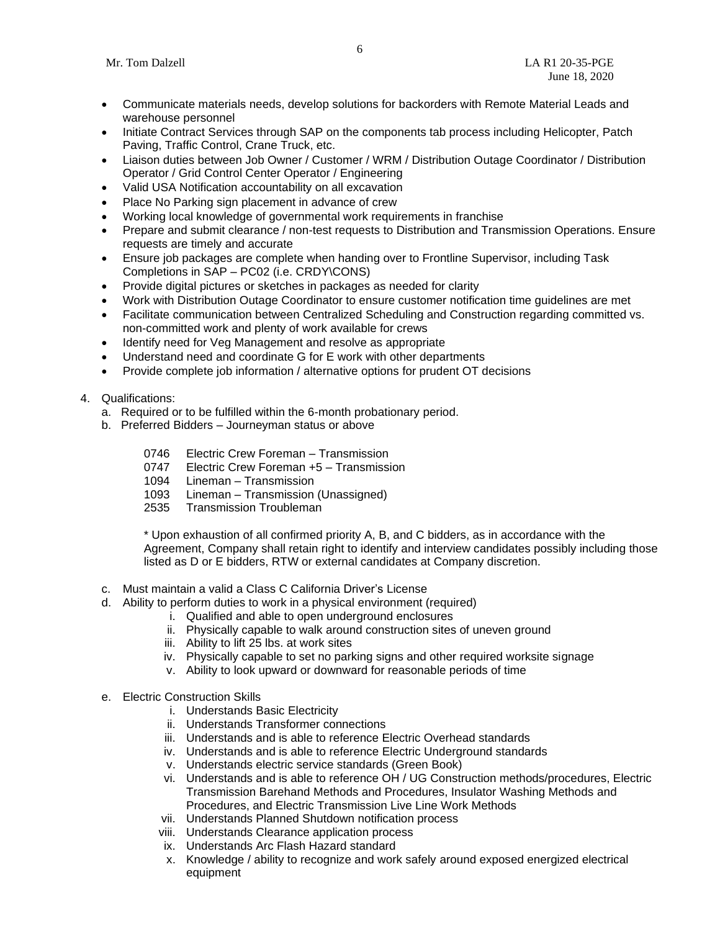- Communicate materials needs, develop solutions for backorders with Remote Material Leads and warehouse personnel
- Initiate Contract Services through SAP on the components tab process including Helicopter, Patch Paving, Traffic Control, Crane Truck, etc.
- Liaison duties between Job Owner / Customer / WRM / Distribution Outage Coordinator / Distribution Operator / Grid Control Center Operator / Engineering
- Valid USA Notification accountability on all excavation
- Place No Parking sign placement in advance of crew
- Working local knowledge of governmental work requirements in franchise
- Prepare and submit clearance / non-test requests to Distribution and Transmission Operations. Ensure requests are timely and accurate
- Ensure job packages are complete when handing over to Frontline Supervisor, including Task Completions in SAP – PC02 (i.e. CRDY\CONS)
- Provide digital pictures or sketches in packages as needed for clarity
- Work with Distribution Outage Coordinator to ensure customer notification time guidelines are met
- Facilitate communication between Centralized Scheduling and Construction regarding committed vs. non-committed work and plenty of work available for crews
- Identify need for Veg Management and resolve as appropriate
- Understand need and coordinate G for E work with other departments
- Provide complete job information / alternative options for prudent OT decisions
- 4. Qualifications:
	- a. Required or to be fulfilled within the 6-month probationary period.
	- b. Preferred Bidders Journeyman status or above
		- 0746 Electric Crew Foreman Transmission
		- 0747 Electric Crew Foreman +5 Transmission
		- 1094 Lineman Transmission
		- 1093 Lineman Transmission (Unassigned)
		- 2535 Transmission Troubleman

\* Upon exhaustion of all confirmed priority A, B, and C bidders, as in accordance with the Agreement, Company shall retain right to identify and interview candidates possibly including those listed as D or E bidders, RTW or external candidates at Company discretion.

- c. Must maintain a valid a Class C California Driver's License
- d. Ability to perform duties to work in a physical environment (required)
	- i. Qualified and able to open underground enclosures
	- ii. Physically capable to walk around construction sites of uneven ground
	- iii. Ability to lift 25 lbs. at work sites
	- iv. Physically capable to set no parking signs and other required worksite signage
	- v. Ability to look upward or downward for reasonable periods of time
- e. Electric Construction Skills
	- i. Understands Basic Electricity
	- ii. Understands Transformer connections
	- iii. Understands and is able to reference Electric Overhead standards
	- iv. Understands and is able to reference Electric Underground standards
	- v. Understands electric service standards (Green Book)
	- vi. Understands and is able to reference OH / UG Construction methods/procedures, Electric Transmission Barehand Methods and Procedures, Insulator Washing Methods and Procedures, and Electric Transmission Live Line Work Methods
	- vii. Understands Planned Shutdown notification process
	- viii. Understands Clearance application process
	- ix. Understands Arc Flash Hazard standard
	- x. Knowledge / ability to recognize and work safely around exposed energized electrical equipment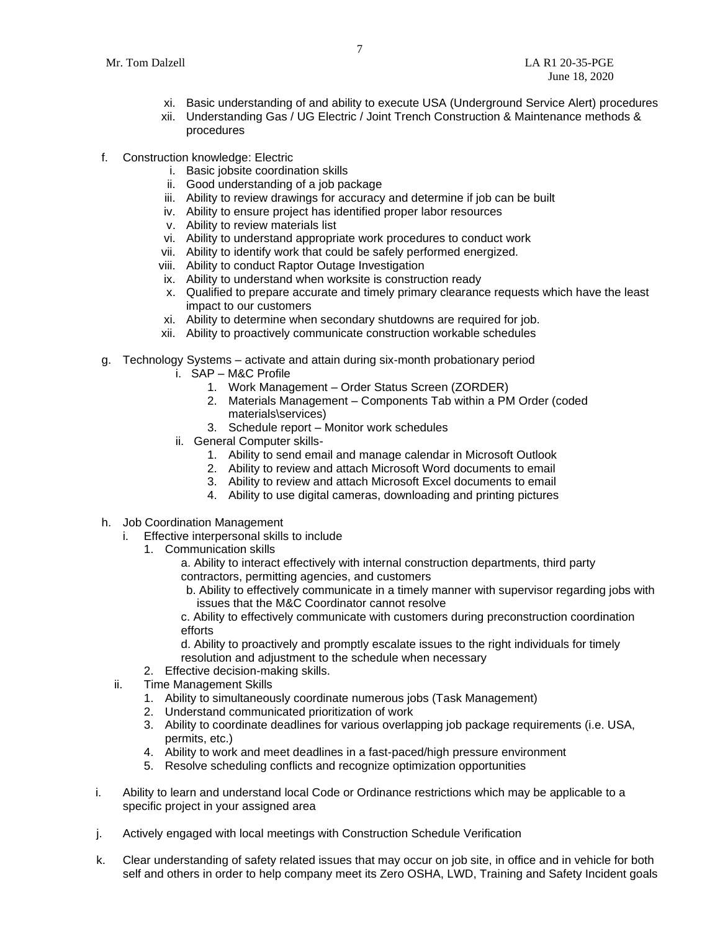- xi. Basic understanding of and ability to execute USA (Underground Service Alert) procedures
- xii. Understanding Gas / UG Electric / Joint Trench Construction & Maintenance methods & procedures
- f. Construction knowledge: Electric
	- i. Basic jobsite coordination skills
	- ii. Good understanding of a job package
	- iii. Ability to review drawings for accuracy and determine if job can be built
	- iv. Ability to ensure project has identified proper labor resources
	- v. Ability to review materials list
	- vi. Ability to understand appropriate work procedures to conduct work
	- vii. Ability to identify work that could be safely performed energized.
	- viii. Ability to conduct Raptor Outage Investigation
	- ix. Ability to understand when worksite is construction ready
	- x. Qualified to prepare accurate and timely primary clearance requests which have the least impact to our customers
	- xi. Ability to determine when secondary shutdowns are required for job.
	- xii. Ability to proactively communicate construction workable schedules
- g. Technology Systems activate and attain during six-month probationary period
	- i. SAP M&C Profile
		- 1. Work Management Order Status Screen (ZORDER)
		- 2. Materials Management Components Tab within a PM Order (coded materials\services)
		- 3. Schedule report Monitor work schedules
	- ii. General Computer skills-
		- 1. Ability to send email and manage calendar in Microsoft Outlook
		- 2. Ability to review and attach Microsoft Word documents to email
		- 3. Ability to review and attach Microsoft Excel documents to email
		- 4. Ability to use digital cameras, downloading and printing pictures
- h. Job Coordination Management
	- i. Effective interpersonal skills to include
		- 1. Communication skills
			- a. Ability to interact effectively with internal construction departments, third party contractors, permitting agencies, and customers
			- b. Ability to effectively communicate in a timely manner with supervisor regarding jobs with issues that the M&C Coordinator cannot resolve

c. Ability to effectively communicate with customers during preconstruction coordination efforts

d. Ability to proactively and promptly escalate issues to the right individuals for timely resolution and adjustment to the schedule when necessary

- 2. Effective decision-making skills.
- ii. Time Management Skills
	- 1. Ability to simultaneously coordinate numerous jobs (Task Management)
	- 2. Understand communicated prioritization of work
	- 3. Ability to coordinate deadlines for various overlapping job package requirements (i.e. USA, permits, etc.)
	- 4. Ability to work and meet deadlines in a fast-paced/high pressure environment
	- 5. Resolve scheduling conflicts and recognize optimization opportunities
- i. Ability to learn and understand local Code or Ordinance restrictions which may be applicable to a specific project in your assigned area
- j. Actively engaged with local meetings with Construction Schedule Verification
- k. Clear understanding of safety related issues that may occur on job site, in office and in vehicle for both self and others in order to help company meet its Zero OSHA, LWD, Training and Safety Incident goals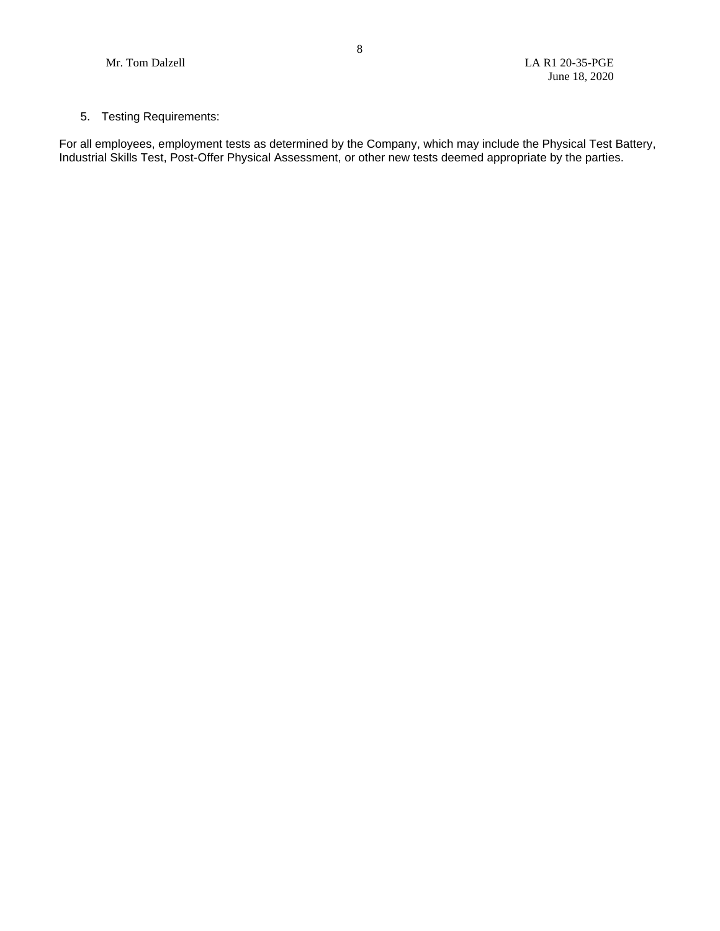## 5. Testing Requirements:

For all employees, employment tests as determined by the Company, which may include the Physical Test Battery, Industrial Skills Test, Post-Offer Physical Assessment, or other new tests deemed appropriate by the parties.